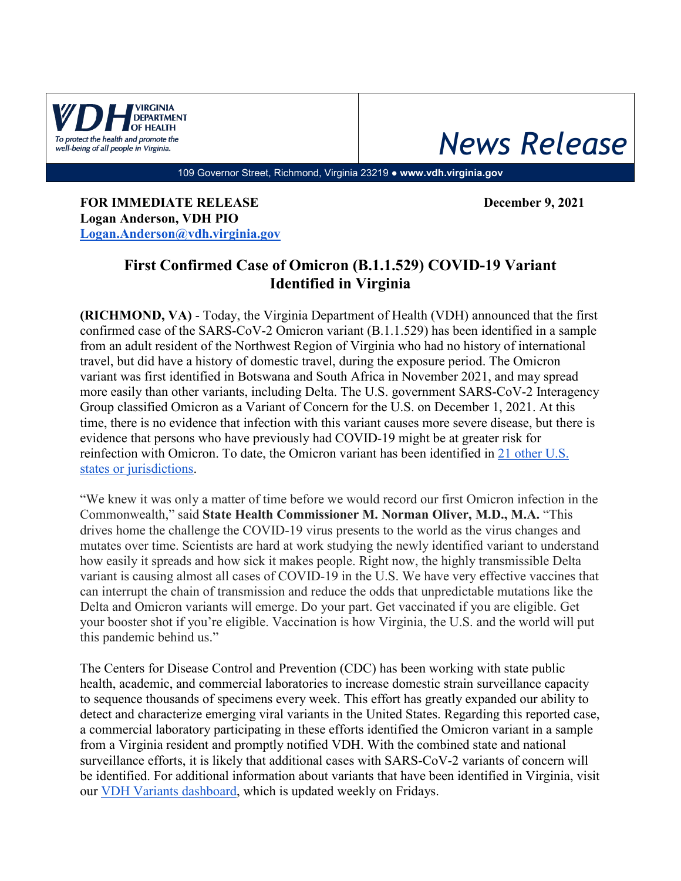

## *News Release*

109 Governor Street, Richmond, Virginia 23219 ● **www.vdh.virginia.gov**

**FOR IMMEDIATE RELEASE December 9, 2021 Logan Anderson, VDH PIO [Logan.Anderson@vdh.virginia.gov](mailto:Logan.Anderson@vdh.virginia.gov)**

## **First Confirmed Case of Omicron (B.1.1.529) COVID-19 Variant Identified in Virginia**

**(RICHMOND, VA)** - Today, the Virginia Department of Health (VDH) announced that the first confirmed case of the SARS-CoV-2 Omicron variant (B.1.1.529) has been identified in a sample from an adult resident of the Northwest Region of Virginia who had no history of international travel, but did have a history of domestic travel, during the exposure period. The Omicron variant was first identified in Botswana and South Africa in November 2021, and may spread more easily than other variants, including Delta. The U.S. government SARS-CoV-2 Interagency Group classified Omicron as a Variant of Concern for the U.S. on December 1, 2021. At this time, there is no evidence that infection with this variant causes more severe disease, but there is evidence that persons who have previously had COVID-19 might be at greater risk for reinfection with Omicron. To date, the Omicron variant has been identified in [21 other U.S.](https://www.cdc.gov/coronavirus/2019-ncov/variants/omicron-variant.html)  [states or jurisdictions.](https://www.cdc.gov/coronavirus/2019-ncov/variants/omicron-variant.html)

"We knew it was only a matter of time before we would record our first Omicron infection in the Commonwealth," said **State Health Commissioner M. Norman Oliver, M.D., M.A.** "This drives home the challenge the COVID-19 virus presents to the world as the virus changes and mutates over time. Scientists are hard at work studying the newly identified variant to understand how easily it spreads and how sick it makes people. Right now, the highly transmissible Delta variant is causing almost all cases of COVID-19 in the U.S. We have very effective vaccines that can interrupt the chain of transmission and reduce the odds that unpredictable mutations like the Delta and Omicron variants will emerge. Do your part. Get vaccinated if you are eligible. Get your booster shot if you're eligible. Vaccination is how Virginia, the U.S. and the world will put this pandemic behind us."

The Centers for Disease Control and Prevention (CDC) has been working with state public health, academic, and commercial laboratories to increase domestic strain surveillance capacity to sequence thousands of specimens every week. This effort has greatly expanded our ability to detect and characterize emerging viral variants in the United States. Regarding this reported case, a commercial laboratory participating in these efforts identified the Omicron variant in a sample from a Virginia resident and promptly notified VDH. With the combined state and national surveillance efforts, it is likely that additional cases with SARS-CoV-2 variants of concern will be identified. For additional information about variants that have been identified in Virginia, visit our [VDH Variants dashboard,](https://www.vdh.virginia.gov/coronavirus/see-the-numbers/covid-19-data-insights/variants/) which is updated weekly on Fridays.